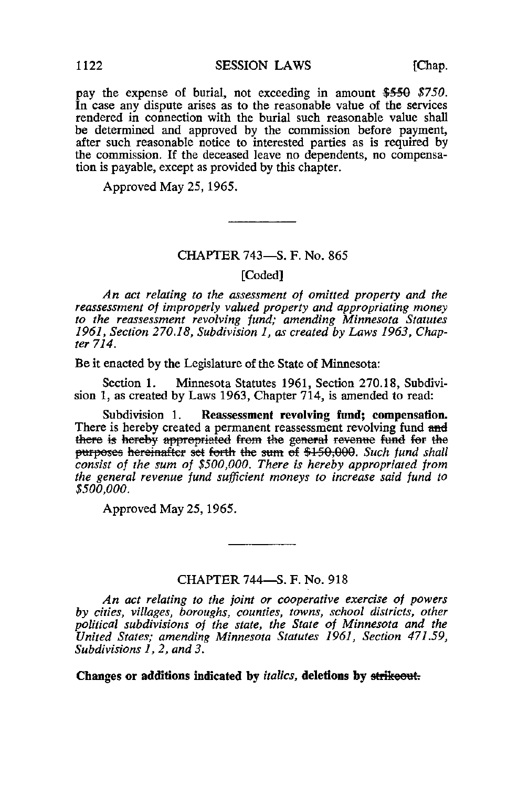pay the expense of burial, not exceeding in amount \$550 \$750. In case any dispute arises as to the reasonable value of the services rendered in connection with the burial such reasonable value shall be determined and approved by the commission before payment, after such reasonable notice to interested parties as is required by the commission. If the deceased leave no dependents, no compensation is payable, except as provided by this chapter.

Approved May 25, 1965.

## CHAPTER 743—S. F. No. 865

## [Coded]

An act relating to the assessment of omitted property and the reassessment of improperly valued property and appropriating money to the reassessment revolving fund; amending Minnesota Statutes 1961, Section 270.18, Subdivision 1, as created by Laws 1963, Chapter 714.

Be it enacted by the Legislature of the State of Minnesota:

Section 1. Minnesota Statutes 1961, Section 270.18, Subdivision 1, as created by Laws 1963, Chapter 714, is amended to read:

Subdivision 1. Reassessment revolving fund; compensation. There is hereby created a permanent reassessment revolving fund and there is hereby appropriated from the general revenue fund for the purposes hereinafter set forth the sum of \$150,000. Such fund shall consist of the sum of \$500,000. There is hereby appropriated from the general revenue fund sufficient moneys to increase said fund to \$500,000.

Approved May 25,1965.

## CHAPTER 744—S. F. No. 918

An act relating to the joint or cooperative exercise of powers by cities, villages, boroughs, counties, towns, school districts, other political subdivisions of the state, the State of Minnesota and the United States; amending Minnesota Statutes 1961, Section 471.59, Subdivisions 1, 2, and 3.

Changes or additions indicated by *italics*, deletions by strikeout.